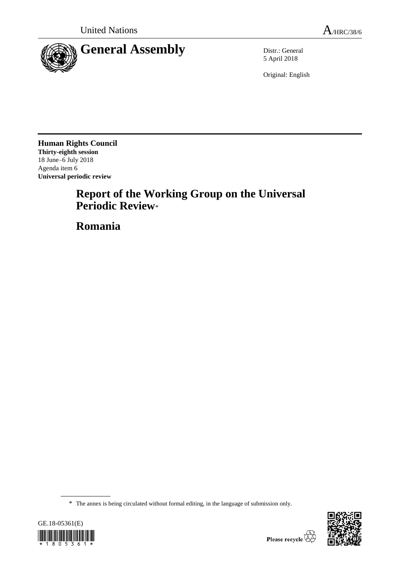

5 April 2018

Original: English

**Human Rights Council Thirty-eighth session** 18 June–6 July 2018 Agenda item 6 **Universal periodic review**

# **Report of the Working Group on the Universal Periodic Review**\*

**Romania**

<sup>\*</sup> The annex is being circulated without formal editing, in the language of submission only.



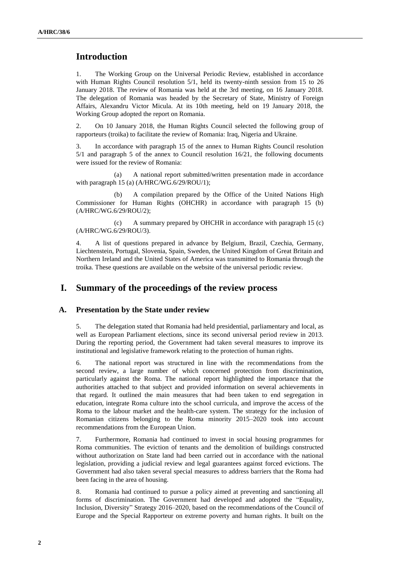# **Introduction**

1. The Working Group on the Universal Periodic Review, established in accordance with Human Rights Council resolution 5/1, held its twenty-ninth session from 15 to 26 January 2018. The review of Romania was held at the 3rd meeting, on 16 January 2018. The delegation of Romania was headed by the Secretary of State, Ministry of Foreign Affairs, Alexandru Victor Micula. At its 10th meeting, held on 19 January 2018, the Working Group adopted the report on Romania.

2. On 10 January 2018, the Human Rights Council selected the following group of rapporteurs (troika) to facilitate the review of Romania: Iraq, Nigeria and Ukraine.

3. In accordance with paragraph 15 of the annex to Human Rights Council resolution 5/1 and paragraph 5 of the annex to Council resolution 16/21, the following documents were issued for the review of Romania:

(a) A national report submitted/written presentation made in accordance with paragraph 15 (a) (A/HRC/WG.6/29/ROU/1);

(b) A compilation prepared by the Office of the United Nations High Commissioner for Human Rights (OHCHR) in accordance with paragraph 15 (b) (A/HRC/WG.6/29/ROU/2);

(c) A summary prepared by OHCHR in accordance with paragraph 15 (c) (A/HRC/WG.6/29/ROU/3).

4. A list of questions prepared in advance by Belgium, Brazil, Czechia, Germany, Liechtenstein, Portugal, Slovenia, Spain, Sweden, the United Kingdom of Great Britain and Northern Ireland and the United States of America was transmitted to Romania through the troika. These questions are available on the website of the universal periodic review.

## **I. Summary of the proceedings of the review process**

#### **A. Presentation by the State under review**

5. The delegation stated that Romania had held presidential, parliamentary and local, as well as European Parliament elections, since its second universal period review in 2013. During the reporting period, the Government had taken several measures to improve its institutional and legislative framework relating to the protection of human rights.

6. The national report was structured in line with the recommendations from the second review, a large number of which concerned protection from discrimination, particularly against the Roma. The national report highlighted the importance that the authorities attached to that subject and provided information on several achievements in that regard. It outlined the main measures that had been taken to end segregation in education, integrate Roma culture into the school curricula, and improve the access of the Roma to the labour market and the health-care system. The strategy for the inclusion of Romanian citizens belonging to the Roma minority 2015–2020 took into account recommendations from the European Union.

7. Furthermore, Romania had continued to invest in social housing programmes for Roma communities. The eviction of tenants and the demolition of buildings constructed without authorization on State land had been carried out in accordance with the national legislation, providing a judicial review and legal guarantees against forced evictions. The Government had also taken several special measures to address barriers that the Roma had been facing in the area of housing.

8. Romania had continued to pursue a policy aimed at preventing and sanctioning all forms of discrimination. The Government had developed and adopted the "Equality, Inclusion, Diversity" Strategy 2016–2020, based on the recommendations of the Council of Europe and the Special Rapporteur on extreme poverty and human rights. It built on the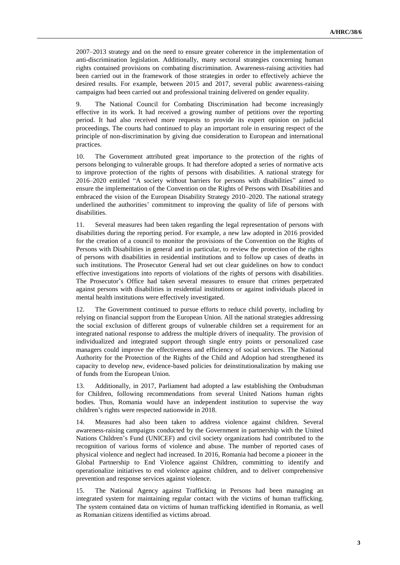2007–2013 strategy and on the need to ensure greater coherence in the implementation of anti-discrimination legislation. Additionally, many sectoral strategies concerning human rights contained provisions on combating discrimination. Awareness-raising activities had been carried out in the framework of those strategies in order to effectively achieve the desired results. For example, between 2015 and 2017, several public awareness-raising campaigns had been carried out and professional training delivered on gender equality.

9. The National Council for Combating Discrimination had become increasingly effective in its work. It had received a growing number of petitions over the reporting period. It had also received more requests to provide its expert opinion on judicial proceedings. The courts had continued to play an important role in ensuring respect of the principle of non-discrimination by giving due consideration to European and international practices.

10. The Government attributed great importance to the protection of the rights of persons belonging to vulnerable groups. It had therefore adopted a series of normative acts to improve protection of the rights of persons with disabilities. A national strategy for 2016–2020 entitled "A society without barriers for persons with disabilities" aimed to ensure the implementation of the Convention on the Rights of Persons with Disabilities and embraced the vision of the European Disability Strategy 2010–2020. The national strategy underlined the authorities' commitment to improving the quality of life of persons with disabilities.

11. Several measures had been taken regarding the legal representation of persons with disabilities during the reporting period. For example, a new law adopted in 2016 provided for the creation of a council to monitor the provisions of the Convention on the Rights of Persons with Disabilities in general and in particular, to review the protection of the rights of persons with disabilities in residential institutions and to follow up cases of deaths in such institutions. The Prosecutor General had set out clear guidelines on how to conduct effective investigations into reports of violations of the rights of persons with disabilities. The Prosecutor's Office had taken several measures to ensure that crimes perpetrated against persons with disabilities in residential institutions or against individuals placed in mental health institutions were effectively investigated.

12. The Government continued to pursue efforts to reduce child poverty, including by relying on financial support from the European Union. All the national strategies addressing the social exclusion of different groups of vulnerable children set a requirement for an integrated national response to address the multiple drivers of inequality. The provision of individualized and integrated support through single entry points or personalized case managers could improve the effectiveness and efficiency of social services. The National Authority for the Protection of the Rights of the Child and Adoption had strengthened its capacity to develop new, evidence-based policies for deinstitutionalization by making use of funds from the European Union.

13. Additionally, in 2017, Parliament had adopted a law establishing the Ombudsman for Children, following recommendations from several United Nations human rights bodies. Thus, Romania would have an independent institution to supervise the way children's rights were respected nationwide in 2018.

14. Measures had also been taken to address violence against children. Several awareness-raising campaigns conducted by the Government in partnership with the United Nations Children's Fund (UNICEF) and civil society organizations had contributed to the recognition of various forms of violence and abuse. The number of reported cases of physical violence and neglect had increased. In 2016, Romania had become a pioneer in the Global Partnership to End Violence against Children, committing to identify and operationalize initiatives to end violence against children, and to deliver comprehensive prevention and response services against violence.

15. The National Agency against Trafficking in Persons had been managing an integrated system for maintaining regular contact with the victims of human trafficking. The system contained data on victims of human trafficking identified in Romania, as well as Romanian citizens identified as victims abroad.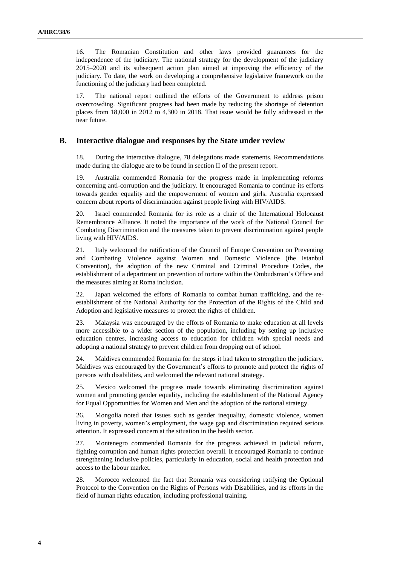16. The Romanian Constitution and other laws provided guarantees for the independence of the judiciary. The national strategy for the development of the judiciary 2015–2020 and its subsequent action plan aimed at improving the efficiency of the judiciary. To date, the work on developing a comprehensive legislative framework on the functioning of the judiciary had been completed.

17. The national report outlined the efforts of the Government to address prison overcrowding. Significant progress had been made by reducing the shortage of detention places from 18,000 in 2012 to 4,300 in 2018. That issue would be fully addressed in the near future.

#### **B. Interactive dialogue and responses by the State under review**

18. During the interactive dialogue, 78 delegations made statements. Recommendations made during the dialogue are to be found in section II of the present report.

19. Australia commended Romania for the progress made in implementing reforms concerning anti-corruption and the judiciary. It encouraged Romania to continue its efforts towards gender equality and the empowerment of women and girls. Australia expressed concern about reports of discrimination against people living with HIV/AIDS.

20. Israel commended Romania for its role as a chair of the International Holocaust Remembrance Alliance. It noted the importance of the work of the National Council for Combating Discrimination and the measures taken to prevent discrimination against people living with HIV/AIDS.

21. Italy welcomed the ratification of the Council of Europe Convention on Preventing and Combating Violence against Women and Domestic Violence (the Istanbul Convention), the adoption of the new Criminal and Criminal Procedure Codes, the establishment of a department on prevention of torture within the Ombudsman's Office and the measures aiming at Roma inclusion.

22. Japan welcomed the efforts of Romania to combat human trafficking, and the reestablishment of the National Authority for the Protection of the Rights of the Child and Adoption and legislative measures to protect the rights of children.

23. Malaysia was encouraged by the efforts of Romania to make education at all levels more accessible to a wider section of the population, including by setting up inclusive education centres, increasing access to education for children with special needs and adopting a national strategy to prevent children from dropping out of school.

24. Maldives commended Romania for the steps it had taken to strengthen the judiciary. Maldives was encouraged by the Government's efforts to promote and protect the rights of persons with disabilities, and welcomed the relevant national strategy.

25. Mexico welcomed the progress made towards eliminating discrimination against women and promoting gender equality, including the establishment of the National Agency for Equal Opportunities for Women and Men and the adoption of the national strategy.

26. Mongolia noted that issues such as gender inequality, domestic violence, women living in poverty, women's employment, the wage gap and discrimination required serious attention. It expressed concern at the situation in the health sector.

27. Montenegro commended Romania for the progress achieved in judicial reform, fighting corruption and human rights protection overall. It encouraged Romania to continue strengthening inclusive policies, particularly in education, social and health protection and access to the labour market.

28. Morocco welcomed the fact that Romania was considering ratifying the Optional Protocol to the Convention on the Rights of Persons with Disabilities, and its efforts in the field of human rights education, including professional training.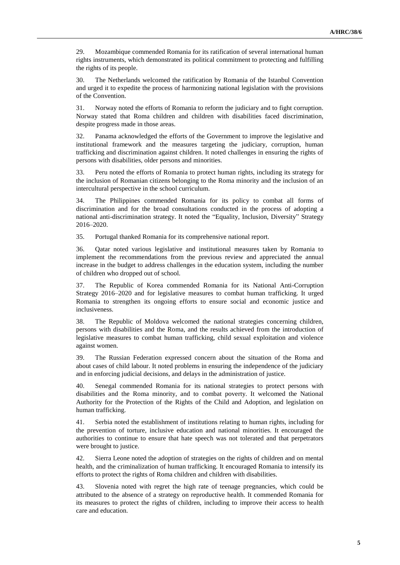29. Mozambique commended Romania for its ratification of several international human rights instruments, which demonstrated its political commitment to protecting and fulfilling the rights of its people.

30. The Netherlands welcomed the ratification by Romania of the Istanbul Convention and urged it to expedite the process of harmonizing national legislation with the provisions of the Convention.

31. Norway noted the efforts of Romania to reform the judiciary and to fight corruption. Norway stated that Roma children and children with disabilities faced discrimination, despite progress made in those areas.

32. Panama acknowledged the efforts of the Government to improve the legislative and institutional framework and the measures targeting the judiciary, corruption, human trafficking and discrimination against children. It noted challenges in ensuring the rights of persons with disabilities, older persons and minorities.

33. Peru noted the efforts of Romania to protect human rights, including its strategy for the inclusion of Romanian citizens belonging to the Roma minority and the inclusion of an intercultural perspective in the school curriculum.

34. The Philippines commended Romania for its policy to combat all forms of discrimination and for the broad consultations conducted in the process of adopting a national anti-discrimination strategy. It noted the "Equality, Inclusion, Diversity" Strategy 2016–2020.

35. Portugal thanked Romania for its comprehensive national report.

36. Qatar noted various legislative and institutional measures taken by Romania to implement the recommendations from the previous review and appreciated the annual increase in the budget to address challenges in the education system, including the number of children who dropped out of school.

37. The Republic of Korea commended Romania for its National Anti-Corruption Strategy 2016–2020 and for legislative measures to combat human trafficking. It urged Romania to strengthen its ongoing efforts to ensure social and economic justice and inclusiveness.

38. The Republic of Moldova welcomed the national strategies concerning children, persons with disabilities and the Roma, and the results achieved from the introduction of legislative measures to combat human trafficking, child sexual exploitation and violence against women.

39. The Russian Federation expressed concern about the situation of the Roma and about cases of child labour. It noted problems in ensuring the independence of the judiciary and in enforcing judicial decisions, and delays in the administration of justice.

40. Senegal commended Romania for its national strategies to protect persons with disabilities and the Roma minority, and to combat poverty. It welcomed the National Authority for the Protection of the Rights of the Child and Adoption, and legislation on human trafficking.

41. Serbia noted the establishment of institutions relating to human rights, including for the prevention of torture, inclusive education and national minorities. It encouraged the authorities to continue to ensure that hate speech was not tolerated and that perpetrators were brought to justice.

42. Sierra Leone noted the adoption of strategies on the rights of children and on mental health, and the criminalization of human trafficking. It encouraged Romania to intensify its efforts to protect the rights of Roma children and children with disabilities.

43. Slovenia noted with regret the high rate of teenage pregnancies, which could be attributed to the absence of a strategy on reproductive health. It commended Romania for its measures to protect the rights of children, including to improve their access to health care and education.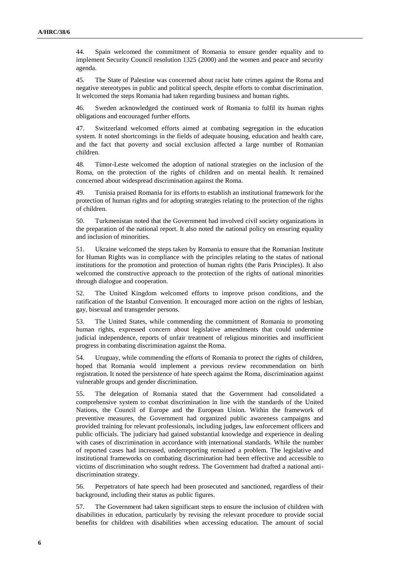44. Spain welcomed the commitment of Romania to ensure gender equality and to implement Security Council resolution 1325 (2000) and the women and peace and security agenda.

45. The State of Palestine was concerned about racist hate crimes against the Roma and negative stereotypes in public and political speech, despite efforts to combat discrimination. It welcomed the steps Romania had taken regarding business and human rights.

46. Sweden acknowledged the continued work of Romania to fulfil its human rights obligations and encouraged further efforts.

47. Switzerland welcomed efforts aimed at combating segregation in the education system. It noted shortcomings in the fields of adequate housing, education and health care, and the fact that poverty and social exclusion affected a large number of Romanian children.

48. Timor-Leste welcomed the adoption of national strategies on the inclusion of the Roma, on the protection of the rights of children and on mental health. It remained concerned about widespread discrimination against the Roma.

49. Tunisia praised Romania for its efforts to establish an institutional framework for the protection of human rights and for adopting strategies relating to the protection of the rights of children.

50. Turkmenistan noted that the Government had involved civil society organizations in the preparation of the national report. It also noted the national policy on ensuring equality and inclusion of minorities.

51. Ukraine welcomed the steps taken by Romania to ensure that the Romanian Institute for Human Rights was in compliance with the principles relating to the status of national institutions for the promotion and protection of human rights (the Paris Principles). It also welcomed the constructive approach to the protection of the rights of national minorities through dialogue and cooperation.

52. The United Kingdom welcomed efforts to improve prison conditions, and the ratification of the Istanbul Convention. It encouraged more action on the rights of lesbian, gay, bisexual and transgender persons.

53. The United States, while commending the commitment of Romania to promoting human rights, expressed concern about legislative amendments that could undermine judicial independence, reports of unfair treatment of religious minorities and insufficient progress in combating discrimination against the Roma.

54. Uruguay, while commending the efforts of Romania to protect the rights of children, hoped that Romania would implement a previous review recommendation on birth registration. It noted the persistence of hate speech against the Roma, discrimination against vulnerable groups and gender discrimination.

55. The delegation of Romania stated that the Government had consolidated a comprehensive system to combat discrimination in line with the standards of the United Nations, the Council of Europe and the European Union. Within the framework of preventive measures, the Government had organized public awareness campaigns and provided training for relevant professionals, including judges, law enforcement officers and public officials. The judiciary had gained substantial knowledge and experience in dealing with cases of discrimination in accordance with international standards. While the number of reported cases had increased, underreporting remained a problem. The legislative and institutional frameworks on combating discrimination had been effective and accessible to victims of discrimination who sought redress. The Government had drafted a national antidiscrimination strategy.

56. Perpetrators of hate speech had been prosecuted and sanctioned, regardless of their background, including their status as public figures.

57. The Government had taken significant steps to ensure the inclusion of children with disabilities in education, particularly by revising the relevant procedure to provide social benefits for children with disabilities when accessing education. The amount of social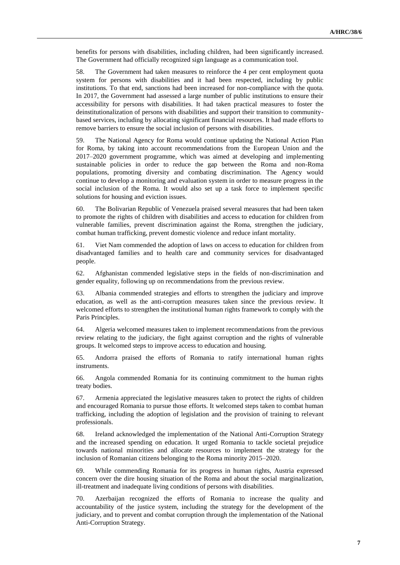benefits for persons with disabilities, including children, had been significantly increased. The Government had officially recognized sign language as a communication tool.

58. The Government had taken measures to reinforce the 4 per cent employment quota system for persons with disabilities and it had been respected, including by public institutions. To that end, sanctions had been increased for non-compliance with the quota. In 2017, the Government had assessed a large number of public institutions to ensure their accessibility for persons with disabilities. It had taken practical measures to foster the deinstitutionalization of persons with disabilities and support their transition to communitybased services, including by allocating significant financial resources. It had made efforts to remove barriers to ensure the social inclusion of persons with disabilities.

59. The National Agency for Roma would continue updating the National Action Plan for Roma, by taking into account recommendations from the European Union and the 2017–2020 government programme, which was aimed at developing and implementing sustainable policies in order to reduce the gap between the Roma and non-Roma populations, promoting diversity and combating discrimination. The Agency would continue to develop a monitoring and evaluation system in order to measure progress in the social inclusion of the Roma. It would also set up a task force to implement specific solutions for housing and eviction issues.

60. The Bolivarian Republic of Venezuela praised several measures that had been taken to promote the rights of children with disabilities and access to education for children from vulnerable families, prevent discrimination against the Roma, strengthen the judiciary, combat human trafficking, prevent domestic violence and reduce infant mortality.

61. Viet Nam commended the adoption of laws on access to education for children from disadvantaged families and to health care and community services for disadvantaged people.

62. Afghanistan commended legislative steps in the fields of non-discrimination and gender equality, following up on recommendations from the previous review.

63. Albania commended strategies and efforts to strengthen the judiciary and improve education, as well as the anti-corruption measures taken since the previous review. It welcomed efforts to strengthen the institutional human rights framework to comply with the Paris Principles.

64. Algeria welcomed measures taken to implement recommendations from the previous review relating to the judiciary, the fight against corruption and the rights of vulnerable groups. It welcomed steps to improve access to education and housing.

65. Andorra praised the efforts of Romania to ratify international human rights instruments.

66. Angola commended Romania for its continuing commitment to the human rights treaty bodies.

67. Armenia appreciated the legislative measures taken to protect the rights of children and encouraged Romania to pursue those efforts. It welcomed steps taken to combat human trafficking, including the adoption of legislation and the provision of training to relevant professionals.

68. Ireland acknowledged the implementation of the National Anti-Corruption Strategy and the increased spending on education. It urged Romania to tackle societal prejudice towards national minorities and allocate resources to implement the strategy for the inclusion of Romanian citizens belonging to the Roma minority 2015–2020.

69. While commending Romania for its progress in human rights, Austria expressed concern over the dire housing situation of the Roma and about the social marginalization, ill-treatment and inadequate living conditions of persons with disabilities.

70. Azerbaijan recognized the efforts of Romania to increase the quality and accountability of the justice system, including the strategy for the development of the judiciary, and to prevent and combat corruption through the implementation of the National Anti-Corruption Strategy.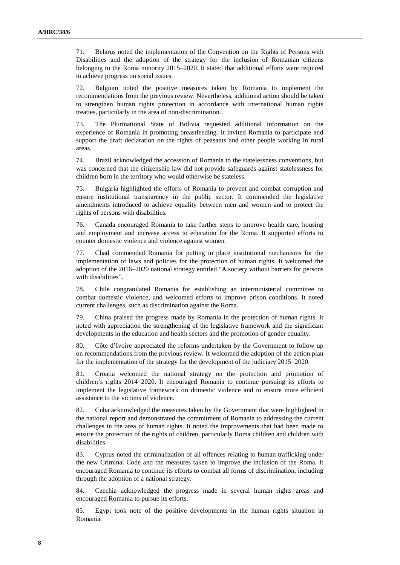71. Belarus noted the implementation of the Convention on the Rights of Persons with Disabilities and the adoption of the strategy for the inclusion of Romanian citizens belonging to the Roma minority 2015–2020. It stated that additional efforts were required to achieve progress on social issues.

72. Belgium noted the positive measures taken by Romania to implement the recommendations from the previous review. Nevertheless, additional action should be taken to strengthen human rights protection in accordance with international human rights treaties, particularly in the area of non-discrimination.

73. The Plurinational State of Bolivia requested additional information on the experience of Romania in promoting breastfeeding. It invited Romania to participate and support the draft declaration on the rights of peasants and other people working in rural areas.

74. Brazil acknowledged the accession of Romania to the statelessness conventions, but was concerned that the citizenship law did not provide safeguards against statelessness for children born in the territory who would otherwise be stateless.

75. Bulgaria highlighted the efforts of Romania to prevent and combat corruption and ensure institutional transparency in the public sector. It commended the legislative amendments introduced to achieve equality between men and women and to protect the rights of persons with disabilities.

76. Canada encouraged Romania to take further steps to improve health care, housing and employment and increase access to education for the Roma. It supported efforts to counter domestic violence and violence against women.

77. Chad commended Romania for putting in place institutional mechanisms for the implementation of laws and policies for the protection of human rights. It welcomed the adoption of the 2016–2020 national strategy entitled "A society without barriers for persons with disabilities".

78. Chile congratulated Romania for establishing an interministerial committee to combat domestic violence, and welcomed efforts to improve prison conditions. It noted current challenges, such as discrimination against the Roma.

79. China praised the progress made by Romania in the protection of human rights. It noted with appreciation the strengthening of the legislative framework and the significant developments in the education and health sectors and the promotion of gender equality.

80. Côte d'Ivoire appreciated the reforms undertaken by the Government to follow up on recommendations from the previous review. It welcomed the adoption of the action plan for the implementation of the strategy for the development of the judiciary 2015–2020.

81. Croatia welcomed the national strategy on the protection and promotion of children's rights 2014–2020. It encouraged Romania to continue pursuing its efforts to implement the legislative framework on domestic violence and to ensure more efficient assistance to the victims of violence.

82. Cuba acknowledged the measures taken by the Government that were highlighted in the national report and demonstrated the commitment of Romania to addressing the current challenges in the area of human rights. It noted the improvements that had been made to ensure the protection of the rights of children, particularly Roma children and children with disabilities.

83. Cyprus noted the criminalization of all offences relating to human trafficking under the new Criminal Code and the measures taken to improve the inclusion of the Roma. It encouraged Romania to continue its efforts to combat all forms of discrimination, including through the adoption of a national strategy.

84. Czechia acknowledged the progress made in several human rights areas and encouraged Romania to pursue its efforts.

85. Egypt took note of the positive developments in the human rights situation in Romania.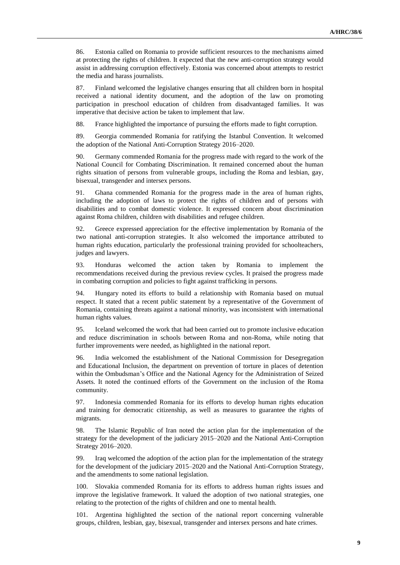86. Estonia called on Romania to provide sufficient resources to the mechanisms aimed at protecting the rights of children. It expected that the new anti-corruption strategy would assist in addressing corruption effectively. Estonia was concerned about attempts to restrict the media and harass journalists.

87. Finland welcomed the legislative changes ensuring that all children born in hospital received a national identity document, and the adoption of the law on promoting participation in preschool education of children from disadvantaged families. It was imperative that decisive action be taken to implement that law.

88. France highlighted the importance of pursuing the efforts made to fight corruption.

89. Georgia commended Romania for ratifying the Istanbul Convention. It welcomed the adoption of the National Anti-Corruption Strategy 2016–2020.

90. Germany commended Romania for the progress made with regard to the work of the National Council for Combating Discrimination. It remained concerned about the human rights situation of persons from vulnerable groups, including the Roma and lesbian, gay, bisexual, transgender and intersex persons.

91. Ghana commended Romania for the progress made in the area of human rights, including the adoption of laws to protect the rights of children and of persons with disabilities and to combat domestic violence. It expressed concern about discrimination against Roma children, children with disabilities and refugee children.

92. Greece expressed appreciation for the effective implementation by Romania of the two national anti-corruption strategies. It also welcomed the importance attributed to human rights education, particularly the professional training provided for schoolteachers, judges and lawyers.

93. Honduras welcomed the action taken by Romania to implement the recommendations received during the previous review cycles. It praised the progress made in combating corruption and policies to fight against trafficking in persons.

94. Hungary noted its efforts to build a relationship with Romania based on mutual respect. It stated that a recent public statement by a representative of the Government of Romania, containing threats against a national minority, was inconsistent with international human rights values.

95. Iceland welcomed the work that had been carried out to promote inclusive education and reduce discrimination in schools between Roma and non-Roma, while noting that further improvements were needed, as highlighted in the national report.

96. India welcomed the establishment of the National Commission for Desegregation and Educational Inclusion, the department on prevention of torture in places of detention within the Ombudsman's Office and the National Agency for the Administration of Seized Assets. It noted the continued efforts of the Government on the inclusion of the Roma community.

97. Indonesia commended Romania for its efforts to develop human rights education and training for democratic citizenship, as well as measures to guarantee the rights of migrants.

98. The Islamic Republic of Iran noted the action plan for the implementation of the strategy for the development of the judiciary 2015–2020 and the National Anti-Corruption Strategy 2016–2020.

99. Iraq welcomed the adoption of the action plan for the implementation of the strategy for the development of the judiciary 2015–2020 and the National Anti-Corruption Strategy, and the amendments to some national legislation.

100. Slovakia commended Romania for its efforts to address human rights issues and improve the legislative framework. It valued the adoption of two national strategies, one relating to the protection of the rights of children and one to mental health.

101. Argentina highlighted the section of the national report concerning vulnerable groups, children, lesbian, gay, bisexual, transgender and intersex persons and hate crimes.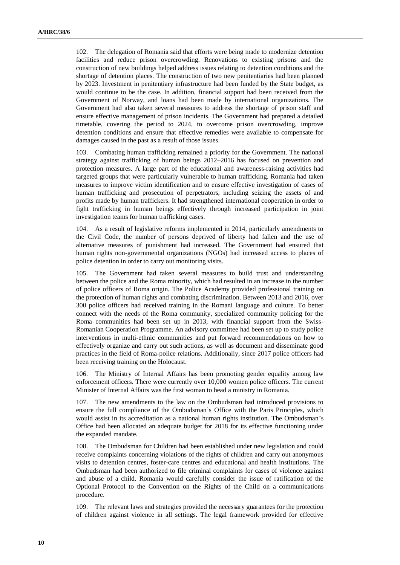102. The delegation of Romania said that efforts were being made to modernize detention facilities and reduce prison overcrowding. Renovations to existing prisons and the construction of new buildings helped address issues relating to detention conditions and the shortage of detention places. The construction of two new penitentiaries had been planned by 2023. Investment in penitentiary infrastructure had been funded by the State budget, as would continue to be the case. In addition, financial support had been received from the Government of Norway, and loans had been made by international organizations. The Government had also taken several measures to address the shortage of prison staff and ensure effective management of prison incidents. The Government had prepared a detailed timetable, covering the period to 2024, to overcome prison overcrowding, improve detention conditions and ensure that effective remedies were available to compensate for damages caused in the past as a result of those issues.

103. Combating human trafficking remained a priority for the Government. The national strategy against trafficking of human beings 2012–2016 has focused on prevention and protection measures. A large part of the educational and awareness-raising activities had targeted groups that were particularly vulnerable to human trafficking. Romania had taken measures to improve victim identification and to ensure effective investigation of cases of human trafficking and prosecution of perpetrators, including seizing the assets of and profits made by human traffickers. It had strengthened international cooperation in order to fight trafficking in human beings effectively through increased participation in joint investigation teams for human trafficking cases.

104. As a result of legislative reforms implemented in 2014, particularly amendments to the Civil Code, the number of persons deprived of liberty had fallen and the use of alternative measures of punishment had increased. The Government had ensured that human rights non-governmental organizations (NGOs) had increased access to places of police detention in order to carry out monitoring visits.

105. The Government had taken several measures to build trust and understanding between the police and the Roma minority, which had resulted in an increase in the number of police officers of Roma origin. The Police Academy provided professional training on the protection of human rights and combating discrimination. Between 2013 and 2016, over 300 police officers had received training in the Romani language and culture. To better connect with the needs of the Roma community, specialized community policing for the Roma communities had been set up in 2013, with financial support from the Swiss-Romanian Cooperation Programme. An advisory committee had been set up to study police interventions in multi-ethnic communities and put forward recommendations on how to effectively organize and carry out such actions, as well as document and disseminate good practices in the field of Roma-police relations. Additionally, since 2017 police officers had been receiving training on the Holocaust.

106. The Ministry of Internal Affairs has been promoting gender equality among law enforcement officers. There were currently over 10,000 women police officers. The current Minister of Internal Affairs was the first woman to head a ministry in Romania.

107. The new amendments to the law on the Ombudsman had introduced provisions to ensure the full compliance of the Ombudsman's Office with the Paris Principles, which would assist in its accreditation as a national human rights institution. The Ombudsman's Office had been allocated an adequate budget for 2018 for its effective functioning under the expanded mandate.

108. The Ombudsman for Children had been established under new legislation and could receive complaints concerning violations of the rights of children and carry out anonymous visits to detention centres, foster-care centres and educational and health institutions. The Ombudsman had been authorized to file criminal complaints for cases of violence against and abuse of a child. Romania would carefully consider the issue of ratification of the Optional Protocol to the Convention on the Rights of the Child on a communications procedure.

109. The relevant laws and strategies provided the necessary guarantees for the protection of children against violence in all settings. The legal framework provided for effective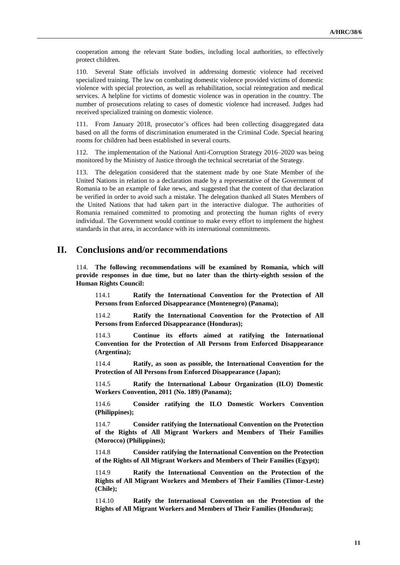cooperation among the relevant State bodies, including local authorities, to effectively protect children.

110. Several State officials involved in addressing domestic violence had received specialized training. The law on combating domestic violence provided victims of domestic violence with special protection, as well as rehabilitation, social reintegration and medical services. A helpline for victims of domestic violence was in operation in the country. The number of prosecutions relating to cases of domestic violence had increased. Judges had received specialized training on domestic violence.

111. From January 2018, prosecutor's offices had been collecting disaggregated data based on all the forms of discrimination enumerated in the Criminal Code. Special hearing rooms for children had been established in several courts.

112. The implementation of the National Anti-Corruption Strategy 2016–2020 was being monitored by the Ministry of Justice through the technical secretariat of the Strategy.

113. The delegation considered that the statement made by one State Member of the United Nations in relation to a declaration made by a representative of the Government of Romania to be an example of fake news, and suggested that the content of that declaration be verified in order to avoid such a mistake. The delegation thanked all States Members of the United Nations that had taken part in the interactive dialogue. The authorities of Romania remained committed to promoting and protecting the human rights of every individual. The Government would continue to make every effort to implement the highest standards in that area, in accordance with its international commitments.

## **II. Conclusions and/or recommendations**

114. **The following recommendations will be examined by Romania, which will provide responses in due time, but no later than the thirty-eighth session of the Human Rights Council:**

114.1 **Ratify the International Convention for the Protection of All Persons from Enforced Disappearance (Montenegro) (Panama);**

114.2 **Ratify the International Convention for the Protection of All Persons from Enforced Disappearance (Honduras);**

114.3 **Continue its efforts aimed at ratifying the International Convention for the Protection of All Persons from Enforced Disappearance (Argentina);**

114.4 **Ratify, as soon as possible, the International Convention for the Protection of All Persons from Enforced Disappearance (Japan);**

114.5 **Ratify the International Labour Organization (ILO) Domestic Workers Convention, 2011 (No. 189) (Panama);**

114.6 **Consider ratifying the ILO Domestic Workers Convention (Philippines);**

114.7 **Consider ratifying the International Convention on the Protection of the Rights of All Migrant Workers and Members of Their Families (Morocco) (Philippines);**

114.8 **Consider ratifying the International Convention on the Protection of the Rights of All Migrant Workers and Members of Their Families (Egypt);**

114.9 **Ratify the International Convention on the Protection of the Rights of All Migrant Workers and Members of Their Families (Timor-Leste) (Chile);**

114.10 **Ratify the International Convention on the Protection of the Rights of All Migrant Workers and Members of Their Families (Honduras);**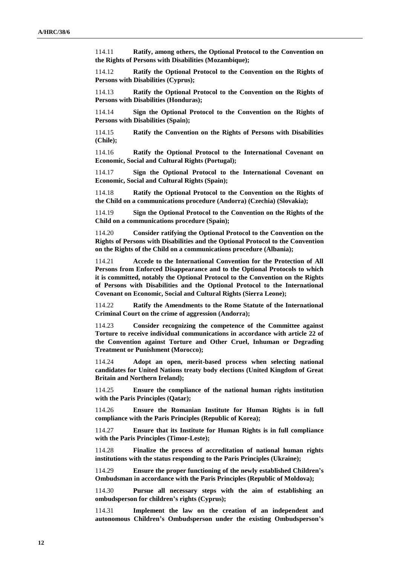114.11 **Ratify, among others, the Optional Protocol to the Convention on the Rights of Persons with Disabilities (Mozambique);**

114.12 **Ratify the Optional Protocol to the Convention on the Rights of Persons with Disabilities (Cyprus);**

114.13 **Ratify the Optional Protocol to the Convention on the Rights of Persons with Disabilities (Honduras);**

114.14 **Sign the Optional Protocol to the Convention on the Rights of Persons with Disabilities (Spain);**

114.15 **Ratify the Convention on the Rights of Persons with Disabilities (Chile);**

114.16 **Ratify the Optional Protocol to the International Covenant on Economic, Social and Cultural Rights (Portugal);**

114.17 **Sign the Optional Protocol to the International Covenant on Economic, Social and Cultural Rights (Spain);**

114.18 **Ratify the Optional Protocol to the Convention on the Rights of the Child on a communications procedure (Andorra) (Czechia) (Slovakia);**

114.19 **Sign the Optional Protocol to the Convention on the Rights of the Child on a communications procedure (Spain);**

114.20 **Consider ratifying the Optional Protocol to the Convention on the Rights of Persons with Disabilities and the Optional Protocol to the Convention on the Rights of the Child on a communications procedure (Albania);**

114.21 **Accede to the International Convention for the Protection of All Persons from Enforced Disappearance and to the Optional Protocols to which it is committed, notably the Optional Protocol to the Convention on the Rights of Persons with Disabilities and the Optional Protocol to the International Covenant on Economic, Social and Cultural Rights (Sierra Leone);**

114.22 **Ratify the Amendments to the Rome Statute of the International Criminal Court on the crime of aggression (Andorra);**

114.23 **Consider recognizing the competence of the Committee against Torture to receive individual communications in accordance with article 22 of the Convention against Torture and Other Cruel, Inhuman or Degrading Treatment or Punishment (Morocco);**

114.24 **Adopt an open, merit-based process when selecting national candidates for United Nations treaty body elections (United Kingdom of Great Britain and Northern Ireland);**

114.25 **Ensure the compliance of the national human rights institution with the Paris Principles (Qatar);**

114.26 **Ensure the Romanian Institute for Human Rights is in full compliance with the Paris Principles (Republic of Korea);**

114.27 **Ensure that its Institute for Human Rights is in full compliance with the Paris Principles (Timor-Leste);**

114.28 **Finalize the process of accreditation of national human rights institutions with the status responding to the Paris Principles (Ukraine);**

114.29 **Ensure the proper functioning of the newly established Children's Ombudsman in accordance with the Paris Principles (Republic of Moldova);**

114.30 **Pursue all necessary steps with the aim of establishing an ombudsperson for children's rights (Cyprus);**

114.31 **Implement the law on the creation of an independent and autonomous Children's Ombudsperson under the existing Ombudsperson's**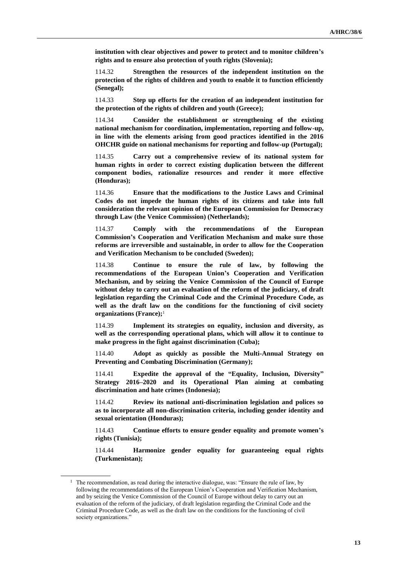**institution with clear objectives and power to protect and to monitor children's rights and to ensure also protection of youth rights (Slovenia);**

114.32 **Strengthen the resources of the independent institution on the protection of the rights of children and youth to enable it to function efficiently (Senegal);**

114.33 **Step up efforts for the creation of an independent institution for the protection of the rights of children and youth (Greece);**

114.34 **Consider the establishment or strengthening of the existing national mechanism for coordination, implementation, reporting and follow-up, in line with the elements arising from good practices identified in the 2016 OHCHR guide on national mechanisms for reporting and follow-up (Portugal);**

114.35 **Carry out a comprehensive review of its national system for human rights in order to correct existing duplication between the different component bodies, rationalize resources and render it more effective (Honduras);**

114.36 **Ensure that the modifications to the Justice Laws and Criminal Codes do not impede the human rights of its citizens and take into full consideration the relevant opinion of the European Commission for Democracy through Law (the Venice Commission) (Netherlands);**

114.37 **Comply with the recommendations of the European Commission's Cooperation and Verification Mechanism and make sure those reforms are irreversible and sustainable, in order to allow for the Cooperation and Verification Mechanism to be concluded (Sweden);**

114.38 **Continue to ensure the rule of law, by following the recommendations of the European Union's Cooperation and Verification Mechanism, and by seizing the Venice Commission of the Council of Europe without delay to carry out an evaluation of the reform of the judiciary, of draft legislation regarding the Criminal Code and the Criminal Procedure Code, as well as the draft law on the conditions for the functioning of civil society organizations (France);**<sup>1</sup>

114.39 **Implement its strategies on equality, inclusion and diversity, as well as the corresponding operational plans, which will allow it to continue to make progress in the fight against discrimination (Cuba);**

114.40 **Adopt as quickly as possible the Multi-Annual Strategy on Preventing and Combating Discrimination (Germany);**

114.41 **Expedite the approval of the "Equality, Inclusion, Diversity" Strategy 2016–2020 and its Operational Plan aiming at combating discrimination and hate crimes (Indonesia);**

114.42 **Review its national anti-discrimination legislation and polices so as to incorporate all non-discrimination criteria, including gender identity and sexual orientation (Honduras);**

114.43 **Continue efforts to ensure gender equality and promote women's rights (Tunisia);**

114.44 **Harmonize gender equality for guaranteeing equal rights (Turkmenistan);**

<sup>&</sup>lt;sup>1</sup> The recommendation, as read during the interactive dialogue, was: "Ensure the rule of law, by following the recommendations of the European Union's Cooperation and Verification Mechanism, and by seizing the Venice Commission of the Council of Europe without delay to carry out an evaluation of the reform of the judiciary, of draft legislation regarding the Criminal Code and the Criminal Procedure Code, as well as the draft law on the conditions for the functioning of civil society organizations."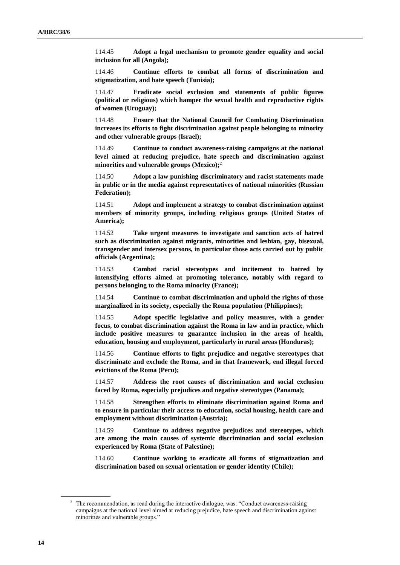114.45 **Adopt a legal mechanism to promote gender equality and social inclusion for all (Angola);**

114.46 **Continue efforts to combat all forms of discrimination and stigmatization, and hate speech (Tunisia);**

114.47 **Eradicate social exclusion and statements of public figures (political or religious) which hamper the sexual health and reproductive rights of women (Uruguay);**

114.48 **Ensure that the National Council for Combating Discrimination increases its efforts to fight discrimination against people belonging to minority and other vulnerable groups (Israel);**

114.49 **Continue to conduct awareness-raising campaigns at the national level aimed at reducing prejudice, hate speech and discrimination against minorities and vulnerable groups (Mexico);**<sup>2</sup>

114.50 **Adopt a law punishing discriminatory and racist statements made in public or in the media against representatives of national minorities (Russian Federation);**

114.51 **Adopt and implement a strategy to combat discrimination against members of minority groups, including religious groups (United States of America);**

114.52 **Take urgent measures to investigate and sanction acts of hatred such as discrimination against migrants, minorities and lesbian, gay, bisexual, transgender and intersex persons, in particular those acts carried out by public officials (Argentina);**

114.53 **Combat racial stereotypes and incitement to hatred by intensifying efforts aimed at promoting tolerance, notably with regard to persons belonging to the Roma minority (France);**

114.54 **Continue to combat discrimination and uphold the rights of those marginalized in its society, especially the Roma population (Philippines);**

114.55 **Adopt specific legislative and policy measures, with a gender focus, to combat discrimination against the Roma in law and in practice, which include positive measures to guarantee inclusion in the areas of health, education, housing and employment, particularly in rural areas (Honduras);**

114.56 **Continue efforts to fight prejudice and negative stereotypes that discriminate and exclude the Roma, and in that framework, end illegal forced evictions of the Roma (Peru);**

114.57 **Address the root causes of discrimination and social exclusion faced by Roma, especially prejudices and negative stereotypes (Panama);**

114.58 **Strengthen efforts to eliminate discrimination against Roma and to ensure in particular their access to education, social housing, health care and employment without discrimination (Austria);**

114.59 **Continue to address negative prejudices and stereotypes, which are among the main causes of systemic discrimination and social exclusion experienced by Roma (State of Palestine);**

114.60 **Continue working to eradicate all forms of stigmatization and discrimination based on sexual orientation or gender identity (Chile);**

<sup>&</sup>lt;sup>2</sup> The recommendation, as read during the interactive dialogue, was: "Conduct awareness-raising campaigns at the national level aimed at reducing prejudice, hate speech and discrimination against minorities and vulnerable groups."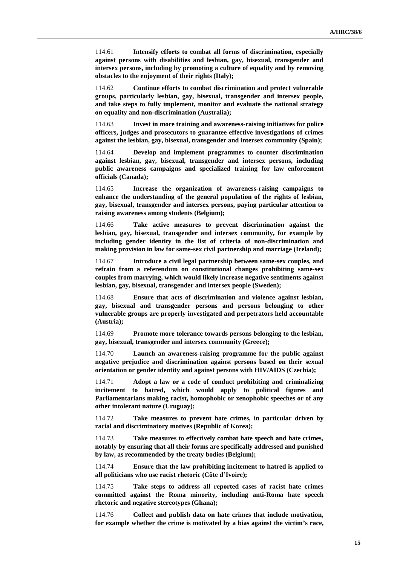114.61 **Intensify efforts to combat all forms of discrimination, especially against persons with disabilities and lesbian, gay, bisexual, transgender and intersex persons, including by promoting a culture of equality and by removing obstacles to the enjoyment of their rights (Italy);**

114.62 **Continue efforts to combat discrimination and protect vulnerable groups, particularly lesbian, gay, bisexual, transgender and intersex people, and take steps to fully implement, monitor and evaluate the national strategy on equality and non-discrimination (Australia);**

114.63 **Invest in more training and awareness-raising initiatives for police officers, judges and prosecutors to guarantee effective investigations of crimes against the lesbian, gay, bisexual, transgender and intersex community (Spain);**

114.64 **Develop and implement programmes to counter discrimination against lesbian, gay, bisexual, transgender and intersex persons, including public awareness campaigns and specialized training for law enforcement officials (Canada);**

114.65 **Increase the organization of awareness-raising campaigns to enhance the understanding of the general population of the rights of lesbian, gay, bisexual, transgender and intersex persons, paying particular attention to raising awareness among students (Belgium);**

114.66 **Take active measures to prevent discrimination against the lesbian, gay, bisexual, transgender and intersex community, for example by including gender identity in the list of criteria of non-discrimination and making provision in law for same-sex civil partnership and marriage (Ireland);**

114.67 **Introduce a civil legal partnership between same-sex couples, and refrain from a referendum on constitutional changes prohibiting same-sex couples from marrying, which would likely increase negative sentiments against lesbian, gay, bisexual, transgender and intersex people (Sweden);**

114.68 **Ensure that acts of discrimination and violence against lesbian, gay, bisexual and transgender persons and persons belonging to other vulnerable groups are properly investigated and perpetrators held accountable (Austria);**

114.69 **Promote more tolerance towards persons belonging to the lesbian, gay, bisexual, transgender and intersex community (Greece);**

114.70 **Launch an awareness-raising programme for the public against negative prejudice and discrimination against persons based on their sexual orientation or gender identity and against persons with HIV/AIDS (Czechia);**

114.71 **Adopt a law or a code of conduct prohibiting and criminalizing incitement to hatred, which would apply to political figures and Parliamentarians making racist, homophobic or xenophobic speeches or of any other intolerant nature (Uruguay);**

114.72 **Take measures to prevent hate crimes, in particular driven by racial and discriminatory motives (Republic of Korea);**

114.73 **Take measures to effectively combat hate speech and hate crimes, notably by ensuring that all their forms are specifically addressed and punished by law, as recommended by the treaty bodies (Belgium);**

114.74 **Ensure that the law prohibiting incitement to hatred is applied to all politicians who use racist rhetoric (Côte d'Ivoire);**

114.75 **Take steps to address all reported cases of racist hate crimes committed against the Roma minority, including anti-Roma hate speech rhetoric and negative stereotypes (Ghana);**

114.76 **Collect and publish data on hate crimes that include motivation, for example whether the crime is motivated by a bias against the victim's race,**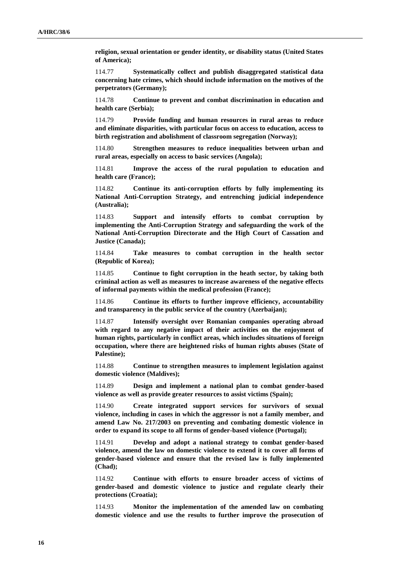**religion, sexual orientation or gender identity, or disability status (United States of America);**

114.77 **Systematically collect and publish disaggregated statistical data concerning hate crimes, which should include information on the motives of the perpetrators (Germany);**

114.78 **Continue to prevent and combat discrimination in education and health care (Serbia);**

114.79 **Provide funding and human resources in rural areas to reduce and eliminate disparities, with particular focus on access to education, access to birth registration and abolishment of classroom segregation (Norway);**

114.80 **Strengthen measures to reduce inequalities between urban and rural areas, especially on access to basic services (Angola);**

114.81 **Improve the access of the rural population to education and health care (France);**

114.82 **Continue its anti-corruption efforts by fully implementing its National Anti-Corruption Strategy, and entrenching judicial independence (Australia);**

114.83 **Support and intensify efforts to combat corruption by implementing the Anti-Corruption Strategy and safeguarding the work of the National Anti-Corruption Directorate and the High Court of Cassation and Justice (Canada);**

114.84 **Take measures to combat corruption in the health sector (Republic of Korea);**

114.85 **Continue to fight corruption in the heath sector, by taking both criminal action as well as measures to increase awareness of the negative effects of informal payments within the medical profession (France);**

114.86 **Continue its efforts to further improve efficiency, accountability and transparency in the public service of the country (Azerbaijan);**

114.87 **Intensify oversight over Romanian companies operating abroad with regard to any negative impact of their activities on the enjoyment of human rights, particularly in conflict areas, which includes situations of foreign occupation, where there are heightened risks of human rights abuses (State of Palestine);**

114.88 **Continue to strengthen measures to implement legislation against domestic violence (Maldives);**

114.89 **Design and implement a national plan to combat gender-based violence as well as provide greater resources to assist victims (Spain);**

114.90 **Create integrated support services for survivors of sexual violence, including in cases in which the aggressor is not a family member, and amend Law No. 217/2003 on preventing and combating domestic violence in order to expand its scope to all forms of gender-based violence (Portugal);**

114.91 **Develop and adopt a national strategy to combat gender-based violence, amend the law on domestic violence to extend it to cover all forms of gender-based violence and ensure that the revised law is fully implemented (Chad);**

114.92 **Continue with efforts to ensure broader access of victims of gender-based and domestic violence to justice and regulate clearly their protections (Croatia);**

114.93 **Monitor the implementation of the amended law on combating domestic violence and use the results to further improve the prosecution of**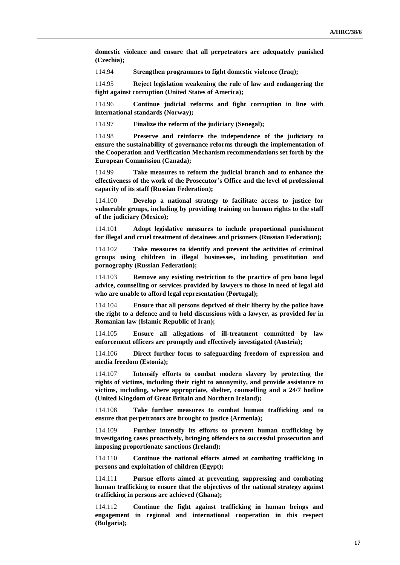**domestic violence and ensure that all perpetrators are adequately punished (Czechia);**

114.94 **Strengthen programmes to fight domestic violence (Iraq);**

114.95 **Reject legislation weakening the rule of law and endangering the fight against corruption (United States of America);**

114.96 **Continue judicial reforms and fight corruption in line with international standards (Norway);**

114.97 **Finalize the reform of the judiciary (Senegal);**

114.98 **Preserve and reinforce the independence of the judiciary to ensure the sustainability of governance reforms through the implementation of the Cooperation and Verification Mechanism recommendations set forth by the European Commission (Canada);**

114.99 **Take measures to reform the judicial branch and to enhance the effectiveness of the work of the Prosecutor's Office and the level of professional capacity of its staff (Russian Federation);**

114.100 **Develop a national strategy to facilitate access to justice for vulnerable groups, including by providing training on human rights to the staff of the judiciary (Mexico);**

114.101 **Adopt legislative measures to include proportional punishment for illegal and cruel treatment of detainees and prisoners (Russian Federation);**

114.102 **Take measures to identify and prevent the activities of criminal groups using children in illegal businesses, including prostitution and pornography (Russian Federation);**

114.103 **Remove any existing restriction to the practice of pro bono legal advice, counselling or services provided by lawyers to those in need of legal aid who are unable to afford legal representation (Portugal);**

114.104 **Ensure that all persons deprived of their liberty by the police have the right to a defence and to hold discussions with a lawyer, as provided for in Romanian law (Islamic Republic of Iran);**

114.105 **Ensure all allegations of ill-treatment committed by law enforcement officers are promptly and effectively investigated (Austria);**

114.106 **Direct further focus to safeguarding freedom of expression and media freedom (Estonia);**

114.107 **Intensify efforts to combat modern slavery by protecting the rights of victims, including their right to anonymity, and provide assistance to victims, including, where appropriate, shelter, counselling and a 24/7 hotline (United Kingdom of Great Britain and Northern Ireland);**

114.108 **Take further measures to combat human trafficking and to ensure that perpetrators are brought to justice (Armenia);**

114.109 **Further intensify its efforts to prevent human trafficking by investigating cases proactively, bringing offenders to successful prosecution and imposing proportionate sanctions (Ireland);**

114.110 **Continue the national efforts aimed at combating trafficking in persons and exploitation of children (Egypt);**

114.111 **Pursue efforts aimed at preventing, suppressing and combating human trafficking to ensure that the objectives of the national strategy against trafficking in persons are achieved (Ghana);**

114.112 **Continue the fight against trafficking in human beings and engagement in regional and international cooperation in this respect (Bulgaria);**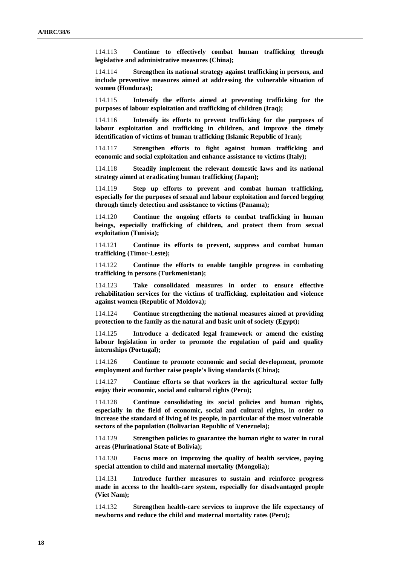114.113 **Continue to effectively combat human trafficking through legislative and administrative measures (China);**

114.114 **Strengthen its national strategy against trafficking in persons, and include preventive measures aimed at addressing the vulnerable situation of women (Honduras);**

114.115 **Intensify the efforts aimed at preventing trafficking for the purposes of labour exploitation and trafficking of children (Iraq);**

114.116 **Intensify its efforts to prevent trafficking for the purposes of labour exploitation and trafficking in children, and improve the timely identification of victims of human trafficking (Islamic Republic of Iran);**

114.117 **Strengthen efforts to fight against human trafficking and economic and social exploitation and enhance assistance to victims (Italy);**

114.118 **Steadily implement the relevant domestic laws and its national strategy aimed at eradicating human trafficking (Japan);**

114.119 **Step up efforts to prevent and combat human trafficking, especially for the purposes of sexual and labour exploitation and forced begging through timely detection and assistance to victims (Panama);**

114.120 **Continue the ongoing efforts to combat trafficking in human beings, especially trafficking of children, and protect them from sexual exploitation (Tunisia);**

114.121 **Continue its efforts to prevent, suppress and combat human trafficking (Timor-Leste);**

114.122 **Continue the efforts to enable tangible progress in combating trafficking in persons (Turkmenistan);**

114.123 **Take consolidated measures in order to ensure effective rehabilitation services for the victims of trafficking, exploitation and violence against women (Republic of Moldova);**

114.124 **Continue strengthening the national measures aimed at providing protection to the family as the natural and basic unit of society (Egypt);**

114.125 **Introduce a dedicated legal framework or amend the existing labour legislation in order to promote the regulation of paid and quality internships (Portugal);**

114.126 **Continue to promote economic and social development, promote employment and further raise people's living standards (China);**

114.127 **Continue efforts so that workers in the agricultural sector fully enjoy their economic, social and cultural rights (Peru);**

114.128 **Continue consolidating its social policies and human rights, especially in the field of economic, social and cultural rights, in order to increase the standard of living of its people, in particular of the most vulnerable sectors of the population (Bolivarian Republic of Venezuela);**

114.129 **Strengthen policies to guarantee the human right to water in rural areas (Plurinational State of Bolivia);**

114.130 **Focus more on improving the quality of health services, paying special attention to child and maternal mortality (Mongolia);**

114.131 **Introduce further measures to sustain and reinforce progress made in access to the health-care system, especially for disadvantaged people (Viet Nam);**

114.132 **Strengthen health-care services to improve the life expectancy of newborns and reduce the child and maternal mortality rates (Peru);**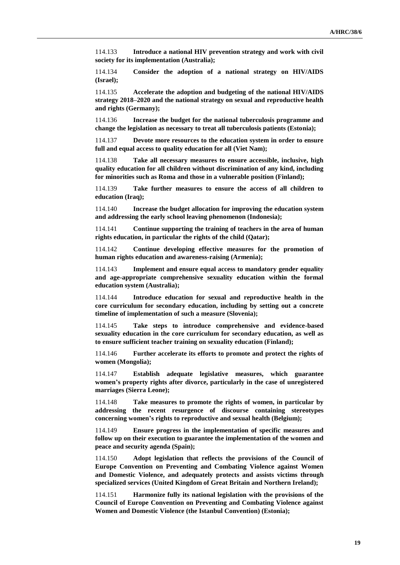114.133 **Introduce a national HIV prevention strategy and work with civil society for its implementation (Australia);**

114.134 **Consider the adoption of a national strategy on HIV/AIDS (Israel);**

114.135 **Accelerate the adoption and budgeting of the national HIV/AIDS strategy 2018–2020 and the national strategy on sexual and reproductive health and rights (Germany);**

114.136 **Increase the budget for the national tuberculosis programme and change the legislation as necessary to treat all tuberculosis patients (Estonia);**

114.137 **Devote more resources to the education system in order to ensure full and equal access to quality education for all (Viet Nam);**

114.138 **Take all necessary measures to ensure accessible, inclusive, high quality education for all children without discrimination of any kind, including for minorities such as Roma and those in a vulnerable position (Finland);**

114.139 **Take further measures to ensure the access of all children to education (Iraq);**

114.140 **Increase the budget allocation for improving the education system and addressing the early school leaving phenomenon (Indonesia);**

114.141 **Continue supporting the training of teachers in the area of human rights education, in particular the rights of the child (Qatar);**

114.142 **Continue developing effective measures for the promotion of human rights education and awareness-raising (Armenia);**

114.143 **Implement and ensure equal access to mandatory gender equality and age-appropriate comprehensive sexuality education within the formal education system (Australia);**

114.144 **Introduce education for sexual and reproductive health in the core curriculum for secondary education, including by setting out a concrete timeline of implementation of such a measure (Slovenia);**

114.145 **Take steps to introduce comprehensive and evidence-based sexuality education in the core curriculum for secondary education, as well as to ensure sufficient teacher training on sexuality education (Finland);**

114.146 **Further accelerate its efforts to promote and protect the rights of women (Mongolia);**

114.147 **Establish adequate legislative measures, which guarantee women's property rights after divorce, particularly in the case of unregistered marriages (Sierra Leone);**

114.148 **Take measures to promote the rights of women, in particular by addressing the recent resurgence of discourse containing stereotypes concerning women's rights to reproductive and sexual health (Belgium);**

114.149 **Ensure progress in the implementation of specific measures and follow up on their execution to guarantee the implementation of the women and peace and security agenda (Spain);**

114.150 **Adopt legislation that reflects the provisions of the Council of Europe Convention on Preventing and Combating Violence against Women and Domestic Violence, and adequately protects and assists victims through specialized services (United Kingdom of Great Britain and Northern Ireland);**

114.151 **Harmonize fully its national legislation with the provisions of the Council of Europe Convention on Preventing and Combating Violence against Women and Domestic Violence (the Istanbul Convention) (Estonia);**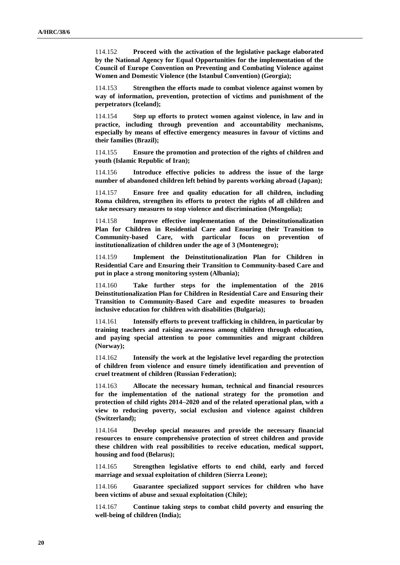114.152 **Proceed with the activation of the legislative package elaborated by the National Agency for Equal Opportunities for the implementation of the Council of Europe Convention on Preventing and Combating Violence against Women and Domestic Violence (the Istanbul Convention) (Georgia);**

114.153 **Strengthen the efforts made to combat violence against women by way of information, prevention, protection of victims and punishment of the perpetrators (Iceland);**

114.154 **Step up efforts to protect women against violence, in law and in practice, including through prevention and accountability mechanisms, especially by means of effective emergency measures in favour of victims and their families (Brazil);**

114.155 **Ensure the promotion and protection of the rights of children and youth (Islamic Republic of Iran);**

114.156 **Introduce effective policies to address the issue of the large number of abandoned children left behind by parents working abroad (Japan);**

114.157 **Ensure free and quality education for all children, including Roma children, strengthen its efforts to protect the rights of all children and take necessary measures to stop violence and discrimination (Mongolia);**

114.158 **Improve effective implementation of the Deinstitutionalization Plan for Children in Residential Care and Ensuring their Transition to Community-based Care, with particular focus on prevention of institutionalization of children under the age of 3 (Montenegro);**

114.159 **Implement the Deinstitutionalization Plan for Children in Residential Care and Ensuring their Transition to Community-based Care and put in place a strong monitoring system (Albania);**

114.160 **Take further steps for the implementation of the 2016 Deinstitutionalization Plan for Children in Residential Care and Ensuring their Transition to Community-Based Care and expedite measures to broaden inclusive education for children with disabilities (Bulgaria);**

114.161 **Intensify efforts to prevent trafficking in children, in particular by training teachers and raising awareness among children through education, and paying special attention to poor communities and migrant children (Norway);**

114.162 **Intensify the work at the legislative level regarding the protection of children from violence and ensure timely identification and prevention of cruel treatment of children (Russian Federation);**

114.163 **Allocate the necessary human, technical and financial resources for the implementation of the national strategy for the promotion and protection of child rights 2014–2020 and of the related operational plan, with a view to reducing poverty, social exclusion and violence against children (Switzerland);**

114.164 **Develop special measures and provide the necessary financial resources to ensure comprehensive protection of street children and provide these children with real possibilities to receive education, medical support, housing and food (Belarus);**

114.165 **Strengthen legislative efforts to end child, early and forced marriage and sexual exploitation of children (Sierra Leone);**

114.166 **Guarantee specialized support services for children who have been victims of abuse and sexual exploitation (Chile);**

114.167 **Continue taking steps to combat child poverty and ensuring the well-being of children (India);**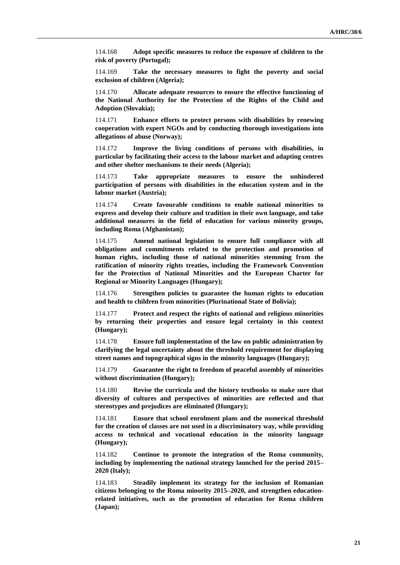114.168 **Adopt specific measures to reduce the exposure of children to the risk of poverty (Portugal);**

114.169 **Take the necessary measures to fight the poverty and social exclusion of children (Algeria);**

114.170 **Allocate adequate resources to ensure the effective functioning of the National Authority for the Protection of the Rights of the Child and Adoption (Slovakia);**

114.171 **Enhance efforts to protect persons with disabilities by renewing cooperation with expert NGOs and by conducting thorough investigations into allegations of abuse (Norway);**

114.172 **Improve the living conditions of persons with disabilities, in particular by facilitating their access to the labour market and adapting centres and other shelter mechanisms to their needs (Algeria);**

114.173 **Take appropriate measures to ensure the unhindered participation of persons with disabilities in the education system and in the labour market (Austria);**

114.174 **Create favourable conditions to enable national minorities to express and develop their culture and tradition in their own language, and take additional measures in the field of education for various minority groups, including Roma (Afghanistan);**

114.175 **Amend national legislation to ensure full compliance with all obligations and commitments related to the protection and promotion of human rights, including those of national minorities stemming from the ratification of minority rights treaties, including the Framework Convention for the Protection of National Minorities and the European Charter for Regional or Minority Languages (Hungary);**

114.176 **Strengthen policies to guarantee the human rights to education and health to children from minorities (Plurinational State of Bolivia);**

114.177 **Protect and respect the rights of national and religious minorities by returning their properties and ensure legal certainty in this context (Hungary);**

114.178 **Ensure full implementation of the law on public administration by clarifying the legal uncertainty about the threshold requirement for displaying street names and topographical signs in the minority languages (Hungary);**

114.179 **Guarantee the right to freedom of peaceful assembly of minorities without discrimination (Hungary);**

114.180 **Revise the curricula and the history textbooks to make sure that diversity of cultures and perspectives of minorities are reflected and that stereotypes and prejudices are eliminated (Hungary);**

114.181 **Ensure that school enrolment plans and the numerical threshold for the creation of classes are not used in a discriminatory way, while providing access to technical and vocational education in the minority language (Hungary);**

114.182 **Continue to promote the integration of the Roma community, including by implementing the national strategy launched for the period 2015– 2020 (Italy);**

114.183 **Steadily implement its strategy for the inclusion of Romanian citizens belonging to the Roma minority 2015–2020, and strengthen educationrelated initiatives, such as the promotion of education for Roma children (Japan);**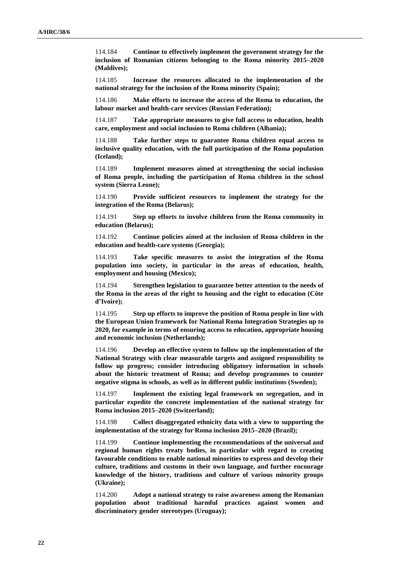114.184 **Continue to effectively implement the government strategy for the inclusion of Romanian citizens belonging to the Roma minority 2015–2020 (Maldives);**

114.185 **Increase the resources allocated to the implementation of the national strategy for the inclusion of the Roma minority (Spain);**

114.186 **Make efforts to increase the access of the Roma to education, the labour market and health-care services (Russian Federation);**

114.187 **Take appropriate measures to give full access to education, health care, employment and social inclusion to Roma children (Albania);**

114.188 **Take further steps to guarantee Roma children equal access to inclusive quality education, with the full participation of the Roma population (Iceland);**

114.189 **Implement measures aimed at strengthening the social inclusion of Roma people, including the participation of Roma children in the school system (Sierra Leone);**

114.190 **Provide sufficient resources to implement the strategy for the integration of the Roma (Belarus);**

114.191 **Step up efforts to involve children from the Roma community in education (Belarus);**

114.192 **Continue policies aimed at the inclusion of Roma children in the education and health-care systems (Georgia);**

114.193 **Take specific measures to assist the integration of the Roma population into society, in particular in the areas of education, health, employment and housing (Mexico);**

114.194 **Strengthen legislation to guarantee better attention to the needs of the Roma in the areas of the right to housing and the right to education (Côte d'Ivoire);**

114.195 **Step up efforts to improve the position of Roma people in line with the European Union framework for National Roma Integration Strategies up to 2020, for example in terms of ensuring access to education, appropriate housing and economic inclusion (Netherlands);**

114.196 **Develop an effective system to follow up the implementation of the National Strategy with clear measurable targets and assigned responsibility to follow up progress; consider introducing obligatory information in schools about the historic treatment of Roma; and develop programmes to counter negative stigma in schools, as well as in different public institutions (Sweden);**

114.197 **Implement the existing legal framework on segregation, and in particular expedite the concrete implementation of the national strategy for Roma inclusion 2015–2020 (Switzerland);**

114.198 **Collect disaggregated ethnicity data with a view to supporting the implementation of the strategy for Roma inclusion 2015–2020 (Brazil);**

114.199 **Continue implementing the recommendations of the universal and regional human rights treaty bodies, in particular with regard to creating favourable conditions to enable national minorities to express and develop their culture, traditions and customs in their own language, and further encourage knowledge of the history, traditions and culture of various minority groups (Ukraine);**

114.200 **Adopt a national strategy to raise awareness among the Romanian population about traditional harmful practices against women and discriminatory gender stereotypes (Uruguay);**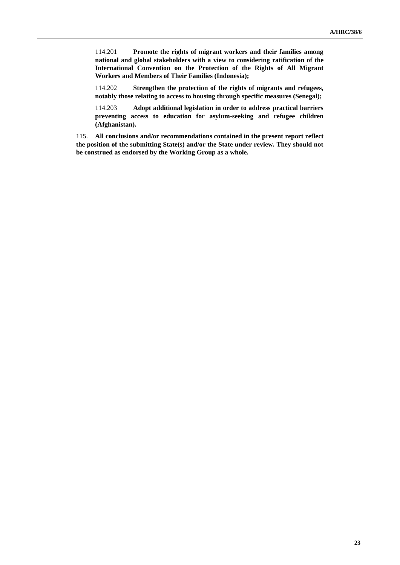114.201 **Promote the rights of migrant workers and their families among national and global stakeholders with a view to considering ratification of the International Convention on the Protection of the Rights of All Migrant Workers and Members of Their Families (Indonesia);**

114.202 **Strengthen the protection of the rights of migrants and refugees, notably those relating to access to housing through specific measures (Senegal);**

114.203 **Adopt additional legislation in order to address practical barriers preventing access to education for asylum-seeking and refugee children (Afghanistan).**

115. **All conclusions and/or recommendations contained in the present report reflect the position of the submitting State(s) and/or the State under review. They should not be construed as endorsed by the Working Group as a whole.**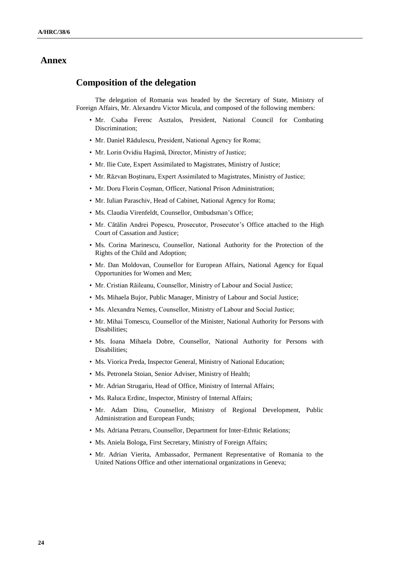### **Annex**

## **Composition of the delegation**

The delegation of Romania was headed by the Secretary of State, Ministry of Foreign Affairs, Mr. Alexandru Victor Micula, and composed of the following members:

- Mr. Csaba Ferenc Asztalos, President, National Council for Combating Discrimination;
- Mr. Daniel Rădulescu, President, National Agency for Roma;
- Mr. Lorin Ovidiu Hagimă, Director, Ministry of Justice;
- Mr. Ilie Cute, Expert Assimilated to Magistrates, Ministry of Justice;
- Mr. Răzvan Boștinaru, Expert Assimilated to Magistrates, Ministry of Justice;
- Mr. Doru Florin Coșman, Officer, National Prison Administration;
- Mr. Iulian Paraschiv, Head of Cabinet, National Agency for Roma;
- Ms. Claudia Virenfeldt, Counsellor, Ombudsman's Office;
- Mr. Cătălin Andrei Popescu, Prosecutor, Prosecutor's Office attached to the High Court of Cassation and Justice;
- Ms. Corina Marinescu, Counsellor, National Authority for the Protection of the Rights of the Child and Adoption;
- Mr. Dan Moldovan, Counsellor for European Affairs, National Agency for Equal Opportunities for Women and Men;
- Mr. Cristian Răileanu, Counsellor, Ministry of Labour and Social Justice;
- Ms. Mihaela Bujor, Public Manager, Ministry of Labour and Social Justice;
- Ms. Alexandra Nemeș, Counsellor, Ministry of Labour and Social Justice;
- Mr. Mihai Tomescu, Counsellor of the Minister, National Authority for Persons with Disabilities;
- Ms. Ioana Mihaela Dobre, Counsellor, National Authority for Persons with Disabilities;
- Ms. Viorica Preda, Inspector General, Ministry of National Education;
- Ms. Petronela Stoian, Senior Adviser, Ministry of Health;
- Mr. Adrian Strugariu, Head of Office, Ministry of Internal Affairs;
- Ms. Raluca Erdinc, Inspector, Ministry of Internal Affairs;
- Mr. Adam Dinu, Counsellor, Ministry of Regional Development, Public Administration and European Funds;
- Ms. Adriana Petraru, Counsellor, Department for Inter-Ethnic Relations;
- Ms. Aniela Bologa, First Secretary, Ministry of Foreign Affairs;
- Mr. Adrian Vierita, Ambassador, Permanent Representative of Romania to the United Nations Office and other international organizations in Geneva;